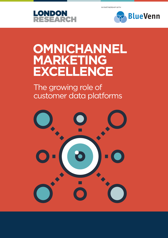IN PARTNERSHIP WITH





## **OMNICHANNEL MARKETING EXCELLENCE**

The growing role of customer data platforms

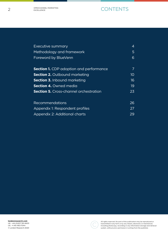## **CONTENTS**

| Executive summary                              | 4               |
|------------------------------------------------|-----------------|
| Methodology and framework                      | 5               |
| Foreword by BlueVenn                           | 6               |
| <b>Section 1.</b> CDP adoption and performance | 7               |
| <b>Section 2.</b> Outbound marketing           | 10 <sup>°</sup> |
| <b>Section 3.</b> Inbound marketing            | 16              |
| <b>Section 4. Owned media</b>                  | 19              |
| <b>Section 5.</b> Cross-channel orchestration  | 23              |
| Recommendations                                | 26              |
| Appendix 1: Respondent profiles                | 27              |
| Appendix 2: Additional charts                  | 29              |



All rights reserved. No part of this publication may be reproduced or<br>transmitted in any form or by any means, electronic or mechanical,<br>including photocopy, recording or any information storage and retrieval<br>system, witho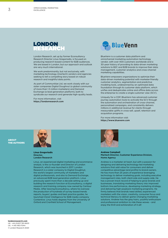

London Research, set up by former Econsultancy Research Director Linus Gregoriadis, is focused on producing research-based content for B2B audiences. We are based in London, but our approach and outlook are very much international.

We work predominantly, but not exclusively, with marketing technology (martech) vendors and agencies seeking to tell a compelling story based on robust research and insightful data points.

As part of Communitize Ltd, we work closely with our sister companies Digital Doughnut (a global community of more than 1.5 million marketers) and Demand Exchange (a lead generation platform), both to syndicate our research and generate high-quality leads.

For more information, visit https://londonresearch.com



BlueVenn is a customer data platform and omnichannel marketing automation technology vendor, with over 400 customers worldwide and a 30-year history of providing its data-driven marketing solutions to B2C and B2B brands to improve their data management, customer analytics and cross-channel marketing capabilities.

BlueVenn empowers organizations to optimize their data-driven marketing potential with marketer-friendly customer analytics, segmentation and predictive modeling tools, underpinned by an optimized data foundation through its customer data platform, which unifies and deduplicates online and offline data across the enterprise to create a single customer view (SCV).

Uniquely for a CDP, BlueVenn has advanced customer journey automation tools to activate the SCV through the automation and orchestration of cross-channel, personalized campaigns, and consistently delivers millions in additional revenue for clients through measurable uplifts in cross-sell, upsell, retention and acquisition programs.

For more information visit: https://www.bluevenn.com



**Linus Gregoriadis** Director, London Research

Linus, an experienced digital marketing and ecommerce analyst, is the co-founder and Director of London Research, which was launched in 2017. London Research is a sister company to Digital Doughnut, the world's largest community of marketers and digital professionals, and also to Demand Exchange, an advanced B2B lead generation platform. Linus previously spent more than a decade setting up and building the research function at Econsultancy, a digital research and training company now owned by Centaur Media. After leaving Econsultancy, where he oversaw the production of hundreds of survey-based trends reports, buyers' guides and best practice guides, he launched ClickZ Intelligence for B2B media company Contentive. Linus holds degrees from the University of Oxford and Cranfield School of Management.



**Andrew Campbell** Martech Director, Customer Experience Division, Home Agency

Andrew is a marketer at heart, but with a passion for designing and delivering technology-led marketing solutions that add value for consumers and deliver competitive advantage (and profits) to brand owners. He has more than 25 years of experience leveraging technology to deliver marketing goals, including executive management roles, both client-side and supply-side. He has a proven track record of helping to grow brands and businesses, translating marketing theory into improved bottom-line performance, developing marketing strategy, and delivering high-payback marketing programs. He firmly believes that brands need skilled, experienced marketers with the vision, creativity, consumer focus and technical literacy to deliver game-changing marketing solutions. Andrew has the grey hairs, youthful enthusiasm and professional ambition to ride these waves – and enjoy the thrill and exhilaration of it all!

ABOUT THE AUTHORS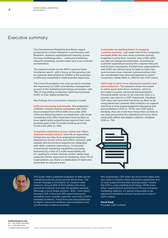### Executive summary

The Omnichannel Marketing Excellence report, produced by London Research in partnership with BlueVenn, explores organizational maturity across four key marketing pillars – outbound marketing, inbound marketing, owned media and cross-channel orchestration.

The research builds on the 2019 Customer Data Excellence report<sup>1</sup>, with a focus on the growing role of customer data platforms (CDPs) in the execution of effective marketing to meet business objectives.

The Covid-19 pandemic has only served to increase the importance of CDPs and identity management as part of the marketing technology ecosystem, with 78% of responding companies reporting increased traffic to their digital properties.

Key findings from our primary research include:

**CDPs are becoming mainstream.** The proportion of \$50m+ annual revenue companies with CDPs has increased from 51% to 63% since early 2019. CDPs are delivering return on investment, with those companies with CDPs more than twice as likely to have significantly outperformed against their main business goal in the 12 months leading up to the Covid crisis (32% vs. 14%).

**A seamless experience across online and offline channels remains elusive.** Only 9% of responding companies say they have engineered seamless experiences across online and offline channels, with website and ecommerce experiences integrated with other customer interactions. Companies' omnichannel marketing capabilities are being held back by a lack of C-suite responsibility for CX, leading to a more channel-centric rather than customer-centric approach to marketing. Only 17% of organizations say there is a dedicated CX team and ownership at executive level.

#### **Companies are getting better at mapping**

**customer journeys.** Just under half of the companies surveyed (45%) are now using customer journey mapping in some form, however only a fifth (21%) say they are designing integrated, omnichannel customer experiences across the customer lifecycle and at every touchpoint. Furthermore, organizations with CDPs are almost twice as likely to have fully synchronized cross-channel communications that are coordinated over time and tailored to match consumers' needs (40% vs. 24% for non-CDP users).

#### **CDPs help to drive more advanced analytics and**

**personalization.** The research shows the extent to which good data drives analytics, which in turn helps to power advanced personalization. Providing better access to all customer data is a primary use case for a CDP investment, therefore CDP users are more than five times as likely to be using advanced customer data analytics to support real-time or time-based triggered messaging and personalization (37% vs. 7% for non-CDP users). Similarly, they are more than three times as likely to say they personalize the website/ecommerce store using both offline and digital customer variables (23% vs. 7%).





This study offers a detailed snapshot of data-driven marketing maturity along several dimensions. The overall message is consistent: on measure after measure, around 20% of firms deploy the most advanced methods and reap the greatest rewards. Although a much larger portion – 63% – now report having a CDP, in fact just 19% report having the complete cross-channel customer view that a CDP is intended to deliver. Those firms are best positioned to deploy advanced analytics, personalization and synchronized customer journeys.

Not surprisingly, CDP users are much more likely than non-users to employ these advanced capabilities and to have outperformed their business goals. Clearly the CDP is a key enabling technology. While many other organizational and technical factors influence marketing maturity, it's almost impossible to do advanced marketing without having some type of CDP in place.

**David Raab** Founder, CDP Institute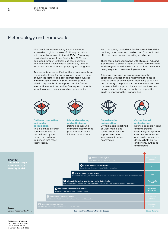### Methodology and framework

This Omnichannel Marketing Excellence report is based on a global survey of 235 organizations with annual revenues of at least \$50m. The survey, carried out in August and September 2020, was publicized through LinkedIn business networks and dedicated survey emails, sent out by London Research and its sister company, Digital Doughnut.

Respondents who qualified for the survey were those working client-side for organizations across a range of business sectors. The best-represented countries in the survey were the US (42%) and UK (38%). The first Appendix of this report contains further information about the profile of survey respondents, including annual revenues and company sectors.



Outbound marketing and media optimization

This is defined as 'push' communications that are initiated by the brand and delivered to audiences that meet their criteria.



Inbound marketing and optimization Defined as inbound marketing activity that promotes consumerinitiated interactions.

Both the survey carried out for this research and the resulting report are structured around four dedicated pillars of omnichannel marketing excellence.

These four pillars correspond with stages 3, 4, 5 and 6 of last year's Seven-Stage Customer Data Maturity Model (*Figure 1*), with the focus of this latest research being very much on marketing execution.

Adopting this structure ensures a pragmatic approach, with actionable findings that relate to specific areas of omnichannel marketing capability and maturity. The premise is that marketers can use the research findings as a benchmark for their own omnichannel marketing maturity and a practical guide to improving their capabilities.



Owned media optimization Owned media is defined as web, mobile and social properties that support customer engagement and/or ecommerce.



Cross-channel orchestration Defined as coordinating and integrating customer journeys and customer experiences across all channels and devices (both online and offline, outbound and inbound).

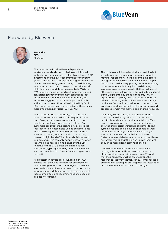

### Foreword by BlueVenn



**Steve Klin** CEO BlueVenn

This report from London Research plots how marketers worldwide are achieving omnichannel maturity and demonstrates a clear link between CDP investment and the over-achievement of marketing goals. It shows that CDP-equipped organizations are almost twice as likely (40% vs. 24%) to be delivering synchronized customer journeys across offline and digital channels, and three times as likely (30% vs. 11%) to apply integrated lead nurturing, scoring and conversion journey management techniques that respond to customer behavior. Furthermore, the responses suggest that CDP users personalize the entire brand journey, thus delivering the Holy Grail of an omnichannel customer experience, three times more often than non-users (23% vs. 7%).

These statistics aren't surprising, but a customer data patform cannot deliver this Holy Grail on its own. Doing so requires a transformation of data, people, technology, processes and culture. Our customers see BlueVenn's technology as a critical tool that not only assembles unified customer data to create a single customer view (SCV), but also ensures that every interaction with a customer, across all digital and offline channels, is informed and personal. This can only happen, however, when the whole business is aligned, enabling the CDP to activate that SCV across the entire business ecosystem (typically including email, SMS, mobile, web and DMP, but also CRM, POS, chat agents and beyond).

As a customer-centric data foundation, the CDP ensures that the website caters for past bookings and browsing history, call center agents can have informed conversations, sales assistants can make great recommendations, and marketers can email those same offers and recommendations based on all past interactions.

The path to omnichannel maturity is anything but straightforward, however. As this omnichannel maturity report shows, it will be some time before all organizations realize their omnichannel utopia. Companies are definitely getting better at mapping customer journeys, but only 9% are delivering seamless experiences across both their online and offline channels. In large part, this is due to a cultural barrier, highlighted by the fact that only 17% of organizations say they have CX representation at C-level. This failing will continue to obstruct many marketers from realizing their goal of omnichannel excellence, and means that marketing systems and processes remain fragmented and channel-focused.

Ultimately, a CDP is not just another database. It can become the key driver to transform or retrofit channel-centric, product-centric or offercentric organizations into customer-centric ones, ensuring that customer insights, customer-facing systems, reports and execution channels all work harmoniously through dependence on a single source of customer truth. It helps marketers to foster human and digital interactions that will leave customers feeling that the brand knows them well enough to merit a long-term relationship.

I hope that marketers and C-level executives reading this report will start to consider some of the great recommendations on page 26, and that their businesses will be able to utilize this research to justify investments in customer-focused, omnichannel strategies, starting with the installation of a CDP at the heart of their CX strategy.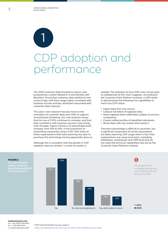**7** OMNICHANNEL MARKETING EXCELLENCE

> 1 CDP adoption and performance

The 2019 Customer Data Excellence report, also produced by London Research in partnership with BlueVenn, found that customer data platforms had come of age, with their usage highly correlated with business success and key attributes associated with customer data maturity.

This year's new research focuses more on the activation of customer data and CDPs to support omnichannel marketing. Our new research shows that the use of CDPs continues to increase, and that their correlation with business success is becoming even stronger. *Figure 2* shows a 12 percentage-point increase, from 51% to 63%, in the proportion of responding companies using a CDP, with many of those organizations that were planning last year to purchase this technology having apparently done so.

Although this is consistent with the growth in CDP adoption seen by vendors<sup>2</sup>, a word of caution is

needed. The adoption of true CDPs may not be quite as widespread as this chart suggests. According to the Customer Data Platform Institute, a CDP needs to demonstrate the following five capabilities to merit true CDP status:

- Ingest data from any source.
- Capture full detail of ingested data.
	- Store ingested data indefinitely (subject to privacy constraints).
	- Create unified profiles of identified individuals.
	- Share data with any system that needs it.

The exact percentage is difficult to ascertain, but a significant proportion of survey respondents are likely reporting CDP usage when in fact their organizations are using more basic marketing databases, warehouses and CRM tools that do not meet the technical capabilities laid out by the Customer Data Platform Institute.



#### **londonresearch.com** UK: +44 (0)207 193 4600 US: +1 415-463-7044 © London Research 2020

<sup>2</sup> CDP Institute Member Survey, page 11: https://lp.cdpinstitute.venntive.com/DL2207-CDPI-Member-Survey-2020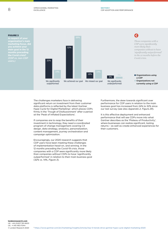

The challenges marketers face in delivering significant return on investment from their customer data platforms is reflected by the latest Gartner Hype Cycle for Digital Marketing<sup>3</sup>, which places CDPs firmly in the 'Trough of Disillusionment' after a period at the 'Peak of Inflated Expectations'.

If companies are to reap the benefits of their investment in technology, they need a coordinated program of change management covering CX design, data strategy, analytics, personalization, content management, journey orchestration and campaign optimization.

Encouragingly, our 2020 research suggests that CDP users have been meeting these challenges of implementation head-on, and winning. In the 12 months preceding the Covid-19 crisis, those companies with a CDP were significantly more likely than companies without CDPs to have 'significantly outperformed' in relation to their main business goal (32% vs. 14%, *Figure 3*).

Furthermore, the skew towards significant over performance for CDP users in relation to the main business goal has increased from 24% to 32% since our last survey (see also *Appendix 2, Figure 29*).

It is this effective deployment and enhanced performance that will see CDPs move into what Gartner describes as the 'Plateau of Productivity', where businesses can realize significant, lasting returns – as well as create enhanced experiences for their customers.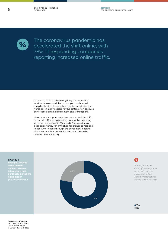**SECTION 1** CDP ADOPTION AND PERFORMANCE



The coronavirus pandemic has accelerated the shift online, with 78% of responding companies reporting increased online traffic.

Of course, 2020 has been anything but normal for most businesses, and the landscape has changed considerably for almost all companies, mostly for the worse but in many sectors for the better, often because of increased digital engagement and transactions.

The coronavirus pandemic has accelerated the shift online, with 78% of responding companies reporting increased online traffic (*Figure 4*). This provides a clear opportunity for omnichannel brands to respond to consumer needs through the consumer's channel of choice, whether this choice has been driven by preference or necessity.

FIGURE 4

**Have you noticed interactions and purchases during the Covid crisis?** 



Q *Almost four in five (78%) of the companies surveyed report an increase in online customer interactions during the Covid crisis.* 

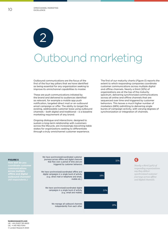# Outbound marketing 2

Outbound communications are the focus of the first of the four key pillars that we have identified as being essential for any organization seeking to improve its omnichannel capabilities to master.

These are push communications initiated by the brand and delivered to audiences identified as relevant, for example a mobile app push notification, targeted direct mail or an outbound email campaign or offer. The ability to target the existing, addressable customer base using outbound channels – both digital and traditional – is a baseline marketing requirement of any brand.

Ongoing dialogue and interactions, designed to sustain a long-term relationship with customers across the lifecycle, are increasingly becoming table stakes for organizations seeking to differentiate through a truly omnichannel customer experience.

The first of our maturity charts (*Figure 5*) reports the extent to which responding companies coordinate customer communications across multiple digital and offline channels. Nearly a third (32%) of organizations are at the top of the maturity spectrum, delivering synchronized communications across all online and offline channels that are sequenced over time and triggered by customer behaviors. This leaves a much higher number of marketers (68%) admitting to delivering single bursts of campaign activity, with varying degrees of synchronization or integration of channels.

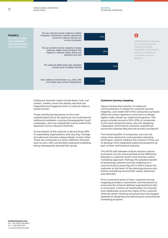OMNICHANNEL MARKETING EXCELLENCE



### FIGURE 6 **your outbound**



#### *use customer journey mapping to design integrated, omnichannel customer experiences across the customer lifecycle.*

Q

Outbound channels might include direct mail, call centers, mobile, email and display ads that are integrated and triggered when a customer takes a certain action.

Those classifying themselves at the more sophisticated end of the spectrum are multichannel outbound marketers, running choreographed 'push' campaigns, who can realistically look to extend this approach across inbound channels.

At the bottom of the maturity scale are those 29% of responding organizations who say they manage all outbound channels independently of each other. These are companies for whom different channels exist as silos, with coordinated outbound marketing being subsequently beyond their grasp.

#### Customer journey mapping

*Figure 6* shows the maturity of outbound communications in respect to customer journey mapping. Just under half of the companies surveyed (45%) are using mapping in some form to design higher-order, joined-up, outbound programs. This group includes around a fifth (21%) of companies in the most advanced camp, who are designing 'integrated, omnichannel customer experiences across the customer lifecycle and at every touchpoint'.

The remaining 55% of companies, who are not using more advanced communication planning techniques, need to address this omission if they are to develop more integrated outbound programs as part of their omnichannel maturity.

This 45:55 split between mature and less mature businesses can be characterized as the difference between a customer-centric and channel-centric marketing approach. Perhaps the greatest benefit of employing customer journey mapping as a communications planning tool is that it places the customer at the heart of the planning process and frames everything around their needs, behaviors and attitudes.

From a practical point of view, customer journey mapping provides a mechanism and framework to overcome the channel-defined organizational silos in a business. It allows all stakeholders to innovate and collaborate around the needs of the customer. Channel-centric thinking and planning is the biggest obstacle to designing and delivering an omnichannel marketing program.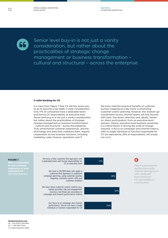

Senior level buy-in is not just a vanity consideration, but rather about the practicalities of strategic change management or business transformation – cultural and structural – across the enterprise.

#### C-suite backing for CX

It is clear from *Figure 7* that CX still has some way to go to become a top table, C-suite consideration. Only 17% of companies have a dedicated team and formal CX responsibility at executive level. Senior level buy-in is not just a vanity consideration, but rather about the practicalities of strategic change management or business transformation – cultural and structural – across the enterprise. Truly omnichannel customer experiences, and the technology and data that underpins them, require cooperation across business functions, including marketing, sales, finance, operations and IT.

We have cited the practical benefits of customer journey mapping as a key tactic in promoting customer-centric planning. However, this 'bottom-up' coordination across channel teams will only flourish with clear 'top-down' direction and, ideally, handson, direct participation, from an executive-level sponsor. Clearly, executive-level business ownership is a critical factor in driving the scale of change required. A focus on campaign and channel metrics, with no single individual or function responsible for CX (as reported by 24% of respondents), will simply not cut it.

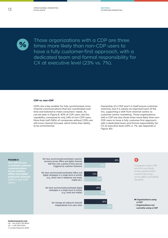

Those organizations with a CDP are three times more likely than non-CDP users to have a fully customer-first approach, with a dedicated team and formal responsibility for CX at executive level (23% vs. 7%).

#### CDP vs. non-CDP

CDPs are a key enabler for fully synchronized crosschannel communications that are coordinated over time and tailored to meet consumers' needs. As can be seen in *Figure 8*, 40% of CDP users cite this capability, compared to only 24% of non-CDP users. More than half (56%) of companies without CDPs are still more channel-focused, which limits their ability to be omnichannel.

Ownership of a CDP won't in itself ensure customer centricity, but it is clearly an important part of the mix, supporting a shift from channel-centric to customer-centric marketing. Those organizations with a CDP are also three times more likely than non-CDP users to have a fully customer-first approach, with a dedicated team and formal responsibility for CX at executive level (23% vs. 7%, see *Appendix 2, Figure 30*).

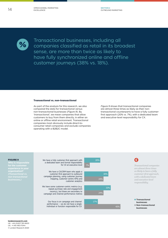

Transactional businesses, including all companies classified as retail in its broadest sense, are more than twice as likely to have fully synchronized online and offline customer journeys (38% vs. 18%).

#### Transactional vs. non-transactional

As part of the analysis for this research, we also compared the data for transactional versus non-transactional businesses (*Figure 9*). By 'transactional', we mean companies that allow customers to buy from them directly, in either an online or offline retail environment. Transactional companies most obviously include direct-toconsumer retail companies and exclude companies operating with a B2B2C model.

*Figure 9* shows that transactional companies are almost three times as likely as their nontransactional counterparts to have a fully customerfirst approach (20% vs. 7%), with a dedicated team and executive-level responsibility for CX.

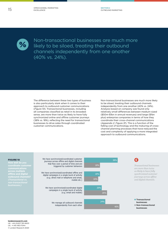SECTION 2 OUTBOUND MARKETING



Non-transactional businesses are much more likely to be siloed, treating their outbound channels independently from one another (40% vs. 24%).

The difference between these two types of business is also particularly stark when it comes to their approach to outbound customer communications (*Figure 10*). Transactional businesses, including all companies classified as retail in its broadest sense, are more than twice as likely to have fully synchronized online and offline customer journeys (38% vs. 18%), reflecting the need for transactional businesses to drive sales through coordinated customer communications.

Non-transactional businesses are much more likely to be siloed, treating their outbound channels independently from one another (40% vs. 24%). Analysis based on company size found only relatively small differences between medium-sized (\$50m-\$1bn in annual revenues) and large (\$1bn plus) enterprise companies in terms of how they coordinate their cross-channel communications (*Appendix 2, Figure 31*). This is a function of the falling cost of technology and the maturing of crosschannel planning processes that have reduced the cost and complexity of applying a more integrated approach to outbound communications.

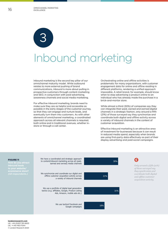

## Inbound marketing

Inbound marketing is the second key pillar of our omnichannel maturity model. While outbound relates to more external pushing of brand communications, inbound is more about pulling in prospective customers through content marketing and SEO, in conjunction with paid advertising, awareness channels and social media marketing.

For effective inbound marketing, brands need to make sure they are as helpful and accessible as possible in the early stages of the customer journey, so that they can engage and nurture leads, and eventually turn them into customers. As with other elements of omnichannel marketing, a coordinated approach across all relevant channels is required, both online and in traditional avenues, whether instore or through a call center.

Orchestrating online and offline activities is problematic for many organizations, with customer engagement data for online and offline residing in different platforms, rendering a unified approach impossible. A retail brand, for example, should know when to stop advertising a product online to an individual who has already made the purchase in a brick-and-mortar store.

While almost a third (30%) of companies say they can integrate their paid, owned and earned digital channels in a strategic fashion, only around a fifth (21%) of those surveyed say they synchronize and coordinate both digital and offline activity across a variety of inbound channels in the context of customer acquisition.

Effective inbound marketing is an attractive area of investment for businesses because it can result in reduced media spend, especially when brands are using first-party data effectively as part of their display advertising and paid social campaigns.

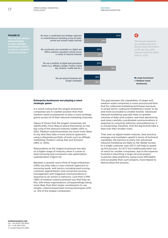OMNICHANNEL MARKETING EXCELLENCE



#### Enterprise businesses are playing a more strategic game

It is worth noting that the largest enterprise companies are in a better position than their medium-sized counterparts to play a more strategic game across all of their inbound marketing channels.

*Figure 12* shows that the largest companies are significantly more likely to place themselves on the top rung of the inbound maturity ladder (42% vs. 25%). Medium-sized businesses are much more likely to say that they take a more tactical approach, using a disparate portfolio of tools such as affiliate marketing, Product Listing Ads and Amazon (36% vs. 20%).

Respondents at the largest businesses are also at a higher stage of maturity when it comes to lead nurturing and conversion rate optimization sophistication (*Figure 13*).

Between a quarter and a third of large enterprises (29%) say they take a cross-channel approach to nurturing leads, with tactics including lead scoring, customer segmentation and conversion journey management with triggered communications in response to an action or behavior. Less than a fifth (18%) of medium-sized businesses say that they do this, with these organizations correspondingly being more likely than their larger counterparts to use simpler, criteria-based lead scoring techniques (21% vs. 12% of the largest companies).

The gap between the capabilities of larger and medium-sized companies is more pronounced than that for outbound marketing techniques because, in simple terms, outbound marketing is easier to do and more accessible to smaller brands. Advanced inbound marketing typically relies on greater volumes of data and content, real-time decisioning and more carefully coordinated communications in response to consumer behavior and preferences. It is unsurprising, therefore, that the big brands take a lead over their smaller rivals.

That said, as digital media matures, best practice emerges and marketers upskill in terms of technical capability, the barriers to entry into advanced inbound marketing are likely to fall. Better access to a single customer view (SCV) will help to speed up this process. An SCV has traditionally been out of reach for smaller companies, due to the expense involved in launching a large services project. Customer data platforms, being more affordable and accessible than such projects, have helped to democratize this process.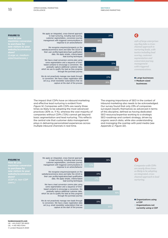

We apply an integrated, cross-channel approach to lead nurturing, including lead scoring, customer segmentation, conversion journey management with triggered communications in

We recognize enquirers/prospects on the website/ecommerce store and tailor the UI/UX to their user profile/registration/lead qualification data. We apply simple, criteria-based lead scoring techniques

We have a lead conversion comms plan using some segmentation and a sequence of timebased contacts to encourage a conversion. We gradually capture additional customer data, which we use to qualify the lead as they progress through the purchase journey

We do not proactively manage new leads through to conversion. We have a basic registration data set (e.g. email newsletter subscription) that we capture at the start of the process

#### FIGURE 13

**to purchase for new visitors to your** 

> The impact that CDPs have on inbound marketing and effective lead nurturing is evident from *Figure 14*. Companies with CDPs are nearly three times as likely to be adopting the most advanced practices (30% vs. 11 %), whereas the vast majority of companies without CDPs (72%) cannot get beyond basic segmentation and lead nurturing. This reflects the central role that customer data management plays in delivering personalized experiences across multiple inbound channels in real-time.

The ongoing importance of SEO in the context of inbound marketing also needs to be acknowledged. Our survey found that only 23% of companies surveyed classify themselves as advanced in terms of this discipline, defined as having dedicated SEO resource/expertise working to a strategic SEO roadmap and content strategy, driven by organic search data, while also understanding and managing the overlap with paid media (see *Appendix 2, Figure 32*).

### Q 30% response to an action/behavior **Companies with CDPs Companies with CDPs companies with CDPs** *are nearly three times as likely to be adopting*  19% *an integrated, crosschannel approach to lead nurturing.*  32% **Organizations using**

a CDP **Organizations not** 

currently using a CDP

We apply an integrated, cross-channel approach to lead nurturing, including lead scoring, customer segmentation, conversion journey management with triggered communications in

We recognize enquirers/prospects on the website/ecommerce store and tailor the UI/UX to their user profile/registration/lead qualification data. We apply simple, criteria-based lead scoring techniques

We have a lead conversion comms plan using some segmentation and a sequence of timebased contacts to encourage a conversion. We gradually capture additional customer data, which we use to qualify the lead as they progress through the purchase journey

We do not proactively manage new leads through to conversion. We have a basic registration data set (e.g. email newsletter subscription) that we capture at the start of the process



FIGURE 14

*users.)*

**to purchase for new visitors to your**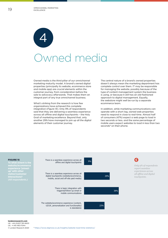

## Owned media

Owned media is the third pillar of our omnichannel marketing maturity model. A brand's owned digital properties (principally its website, ecommerce store and mobile app) are crucial elements within the customer journey, from consideration before the sale to advocacy afterwards. That makes them an integral part of any true omnichannel business.

What's striking from the research is how few organizations have achieved this complete integration (*Figure 15*). Only 9% of respondents said that they are delivering a seamless experience across all offline and digital touchpoints – the Holy Grail of marketing excellence. Beyond that, only another 29% have managed to join up all the digital elements of their customer journey.

The central nature of a brand's owned properties doesn't always mean the marketing department has complete control over them. IT may be responsible for managing the website, possibly because of the type of content management system the business is using, or because it still has an old-fashioned approach to digital management. Equally, the webstore might well be run by a separate ecommerce team.

In addition, while marketing communications can operate with a short lag, owned web properties need to respond in close to real-time. Almost half of consumers (47%) expect a web page to load in two seconds or less, and the same percentage of mobile users expect websites to load in less than two seconds<sup>4</sup> on their phone.



#### **londonresearch.com** UK: +44 (0)207 193 4600 US: +1 415-463-7044 © London Research 2020

<sup>4</sup> https://www.diginow.co.uk/insights/website-load-time-statistics/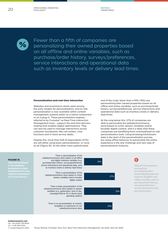SECTION 4 OWNED MEDIA



Fewer than a fifth of companies are personalizing their owned properties based on all offline and online variables, such as purchase/order history, surveys/preferences, service interactions and operational data such as inventory levels or delivery lead times.

#### Personalization and real-time interaction

Websites and ecommerce stores were among the early targets for personalization, and on-site personalization is now available within content management systems either as a native component or as a plug-in. These personalization engines – referred to by Forrester<sup>5</sup> as Real-Time Interaction Management tools – support the real-time decision making that enables digital optimizations. They can also be used to manage interactions across customer touchpoints, like call centers, chat functions and in-store service desks.

Despite this, more than half of respondents (57%) are still either using basic personalization, or none at all (*Figure 16*). At the other more sophisticated

end of the scale, fewer than a fifth (16%) are personalizing their owned properties based on all offline and online variables, such as purchase/order history, surveys/preferences, service interactions and operational data such as inventory levels or delivery lead times.

At the rung below this, 27% of companies are able to personalize the website/ecommerce store based on richer session variables and/or broader digital context, and it is likely that these companies are benefiting from commoditized on-site personalization tools. Using browsing/clickstream data is the start of the personalization journey, but using offline behavior to personalize the online experience is the real challenge and next step of personalization maturity.

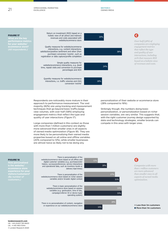OMNICHANNEL MARKETING EXCELLENCE

FIGURE 17 **performance met<br>for vour website/ for your website/** *(All respondents.)* 



SECTION 4 OWNED MEDIA

Respondents are noticeably more mature in their approach to performance measurement. The vast majority (82%) are using tracking and measurement techniques that go beyond basic traffic/page view volumes, with over half (58%) employing engagement metrics that reflect the type and quality of user interactions (*Figure 17*).

Large companies (defined in this context as those with more than 1 million customers) are slightly more advanced than smaller ones in all aspects of owned media optimization (*Figure 18*). They are more likely to be personalizing their owned media properties based on all online and offline variables (20% compared to 12%), while smaller businesses are almost twice as likely not to be doing any

personalization of their website or ecommerce store (28% compared to 16%).

*companies are employing engagement metrics that reflect the type and quality of user interactions, including 20% that measure ROI based on a holistic view of revenues and costs.* 

Q

Strikingly though, the numbers doing basic personalization, or personalization based on richer session variables, are very similar. This suggests that, with the right customer journey design supported by data and technology strategies, smaller brands can compete in this area with larger ones.

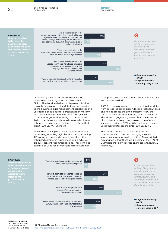OMNICHANNEL MARKETING EXCELLENCE



Research by the CDP Institute indicates that personalization is regarded as a key benefit of CDPs6. The decisions behind such personalization can only be as good as the data they are based on, so the advanced data management capabilities of a CDP form a solid basis for personalization maturity. This fact is reflected in the research data, which shows that organizations using a CDP are more likely to be delivering advanced personalization to enhance the customer experience than those that aren't (23% vs. 7%, *Figure 19*).

Personalization engines help to support real-time decisioning, enabling digital optimization, including AB testing, content and campaign optimization, enhanced commerce experiences and predictive product/content recommendations. These engines can also be used for interactions across customer

touchpoints, such as call centers, chat functions and in-store service desks.

A CDP is also a powerful tool to bring together data from across the organization. It can break down silos and help to create the single customer view that forms the basis for seamless customer experiences. The research (*Figure 20*) shows that CDP users are almost twice as likely as non-users to be offering such an experience (10% vs. 6%), and to have joined up all their digital touchpoints (36% vs. 20%).

The surprise here is that a quarter (25%) of companies with CDPs are managing their web or ecommerce experiences in isolation. The most likely explanation is that these will be some of the 40% of CDP users that only operate online (see *Appendix 2, Figure 33*).



#### **londonresearch.com** UK: +44 (0)207 193 4600 US: +1 415-463-7044

<sup>6</sup> CDP Institute Member Survey, page 14: https://lp.cdpinstitute.venntive.com/DL2207-CDPI-Member-Survey-2020

© London Research 2020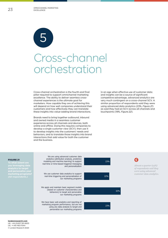23 OMNICHANNEL MARKETING EXCELLENCE



## Cross-channel orchestration

Cross-channel orchestration is the fourth and final pillar required to support omnichannel marketing excellence. The ability to deliver seamless crosschannel experiences is the ultimate goal for marketers. How capable they are of achieving this will depend on how well companies understand their customers and how effectively they can translate these insights into value-adding brand interactions.

Brands need to bring together outbound, inbound and owned media in a seamless customer experience across all channels and devices, both online and offline. Doing this requires companies to develop a single customer view (SCV), then use it to develop insights into the customers' needs and behaviors, and to translate those insights into brand interactions that add value for both the customer and the business.

In an age when effective use of customer data and insights can be a source of significant competitive advantage, advanced analytics are very much contingent on a cross-channel SCV. A similar proportion of respondents said they were using advanced data analytics (23%, *Figure 21*) as said they had an SCV across all channels and touchpoints (19%, *Figure 22*).

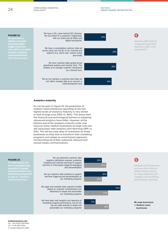#### SECTION 5 CROSS-CHANNEL ORCHESTRATION

We have a full, cross-channel SCV showing FIGURE 22 Q the full extent of a customer's relationship 19% with our brand and all offline and<br>digital touchpoints Around a fifth (19%) of *companies report that*  **and actionable single customer**  *they have a full, cross-*We have a consolidated customer data set *channel SCV.*  **view (SCV) on which**  across some, but not all, of our channels and 29% **to base customer**  systems (e.g. direct mail, contact center and email) *(All respondents.)* We have customer data spread across operational systems and channel 'silos'. This 28% enables us to manage customer interactions at a channel level. We do not maintain a customer-level data set but rather manage data at an account or 24% order/transaction level

#### Analytics maturity

As can be seen in *Figure 23*, the proportion of medium-sized enterprises operating at the two highest levels of analytics maturity is very similar to that of large ones (45% vs. 46%). This shows that the financial and technological barriers to adopting advanced analytics have fallen. However, at the bottom end of the analytics maturity scale, over twice as many medium businesses as large ones are still using basic web analytics and reporting (28% vs. 13%). This will be a key area of investment for these businesses as they look to transform their marketing programs and adopt an omnichannel approach, incorporating all of their outbound, inbound and owned media communications.



### FIGURE 23

**To what extent are you leveraging data marketing programs?**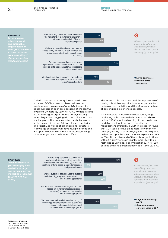

A similar pattern of maturity is also seen in how widely an SCV has been achieved in large and medium-sized businesses (*Figure 24*). Again, almost equal numbers of each are operating at the top two levels of SCV maturity (50% vs. 47%). What is striking is that the largest organizations are significantly more likely to be struggling with data silos than their smaller peers. This demonstrates the challenges that scale presents in terms of data volume, complexity and variety, as well as of organizational structure. Many large businesses will have multiple brands and will operate across a number of territories, making data management vastly more difficult.

The research also demonstrated the importance of having robust, high-quality data management to underpin your analytics, and therefore your delivery of personalized experiences at scale.

It is impossible to move to the new cutting-edge marketing techniques – which include 'next-bestaction' (NBA), machine learning, AI and predictive modeling – without the data assembly and management offered by a CDP. The research found that CDP users are five times more likely than nonusers (*Figure 25*) to be leveraging these techniques to deliver and optimize their customer experience (37% vs. 7%). At the other end of the scale, organizations without a CDP were significantly more likely to be restricted to using basic segmentation (37% vs. 28%) or to be doing no personalization at all (34% vs. 16%).



We are using advanced customer data analytics (attribution analysis, predictive modeling and machine learning) to support real-time or time-based triggered messaging

We use customer data analytics to support real-time triggering and personalization of our marketing programs

We apply and maintain basic segment models (based on customer characteristics and behaviors) to target and personalize our marketing programs

We have basic web analytics and reporting of marketing program performance, but are not using any data analysis to target and personalize our marketing programs

#### FIGURE 25

**To what extent are you leveraging data marketing programs?**  *(CDP vs. non-CDP*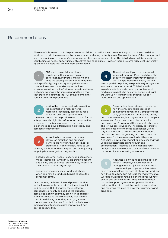### Recommendations

The aim of this research is to help marketers validate and refine their current activity, so that they can define a roadmap to help them move up the omnichannel marketing maturity scale. The exact nature of this roadmap will vary, depending on a company's current capabilities and target end state. The detailed plan will be specific to your business's needs, opportunities, objectives and capabilities. However, there are some high-level, universally applicable pointers that emerge from the research:

CDP deployment is increasingly correlated with enhanced business performance. Marketers must own and drive the strategic customer data agenda

and, specifically, they must quantify the business case for investment in marketing technology. Marketers must model the 'return on investment from customer data' with the same rigor and focus that they track and optimize the ROI of their campaigns, content assets and promotions.



Making the case for, and fully exploiting the potential of, a high-powered marketing technology stack requires a hands-on executive sponsor. This

customer champion can provide a focal point for the enterprise-wide digital transformation program that is required to deliver seamless cross-channel experiences, to drive differentiation, advocacy and competitive advantage.



Marketing has become a real-time, always-on discipline and purchase journeys are now anything but linear or predictable. Marketers now need to use planning methods and techniques. Customer journey

mapping has emerged as a key tool to:

- analyze consumer needs understand consumers, model their reality (what they are thinking, feeling and doing) and codify/calibrate the key 'events' in their purchase decision journey.
- design better experiences work out where, when and how a brand can turn up to serve the consumer better.

CDPs, journey orchestration and personalization technologies enable brands to 'be there, be quick and be useful'. But ultimately, these software components are only as good as the business/ comms/campaign brief they are given to address. Marketers must be more ambitious, creative and specific in defining what they want (e.g. crosschannel customer journeys), so that the technology, media and content specialists can work out how best to execute this.

4

The old adage 'if you can't measure it, you can't manage it' still holds true. The beauty of customer journey mapping is that it helps model and codify the key events (and data points) in a purchase journey – the 'moments' that matter most. This helps with experience design and campaign, content and media planning. It also helps you define and track the various KPIs and metrics that will support measurement and optimization.

Deep, actionable customer insights are now the only defensible source of competitive advantage. Competitors can copy your products, promotions, pricing and routes to market, but they cannot replicate your knowledge of your customers' characteristics, purchases and (current and likely future) behaviors. This is your secret weapon. The ability to translate these insights into enhanced experiences (like a targeted discount, a product recommendation, a personalized in-store greeting or a post-purchase service call) is the new marketing battleground. Analytics is now a core marketing discipline that will underpin sustainable brand growth and differentiation. Resource-up and manage your analytics function to act as a center of excellence at the heart of your marketing operations.

Analytics is only as good as the data on which it is based, so customer data management has joined analytics as a core marketing competence. Marketers must frame and lead the data strategy and work out how their company can move up the maturity curve. Work backwards from the experiences you want to deliver and define a data strategy and roadmap that will support segmentation, personalization, testing/optimization, and the predictive modeling and reporting required to wow your customers and drive sales.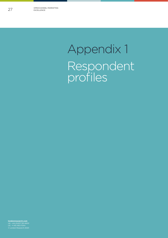## Appendix 1 Respondent profiles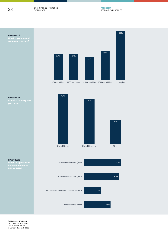OMNICHANNEL MARKETING EXCELLENCE





**you based?**







**londonresearch.com** UK: +44 (0)207 193 4600 US: +1 415-463-7044 © London Research 2020

FIGURE 26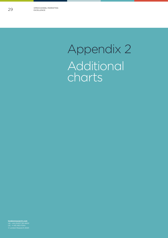## Appendix 2 Additional charts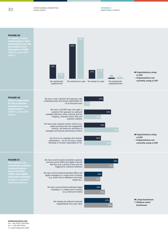OMNICHANNEL MARKETING EXCELLENCE

#### FIGURE 29

**marketing focus, did you achieve your main goal in 2018?**  *(CDP vs. non-CDP* 



#### FIGURE 30

**Who is responsible for the customer organization?** *(CDP vs. non-CDP* 





**Organizations using** 

**Organizations not** currently using a CDP

a CDP

We have a fully customer-first approach with a dedicated team and formal responsibility for CX at executive level

We have a CX/CRM team who apply a customer-first approach to outbound campaign planning, using customer journey mapping, customer-centric KPIs and customer analytics

We have some customer-centric metrics (e.g. repeat purchase rate and engagement recency), but these are secondary to campaign and channel performance metrics

> Our focus is on campaign and channel performance – we do not have a single individual or function responsible for CX



#### FIGURE 31

**How well do you across multiple offline and digital outbound channels?**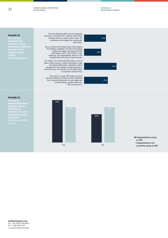APPENDIX 2 ADDITIONAL CHARTS

#### FIGURE 32

**visibility of your**  *(All respondents.)* 



We have dedicated SEO resource/expertise working to a strategic SEO roadmap and content strategy driven by organic search data. We understand and manage the overlap with paid media.

We use advanced off-page tactics with ongoing<br>link building campaigns. We have full schema<br>markup and adopt new/advanced SEO<br>technologies (AMP, Open Graph, in-app indexing). We systematically report on and manage SEO performance improvements.

We employ more advanced SEO tactics, such as basic schema markup, mobile optimization, page load speed optimization, duplicate content management and ongoing monitoring/fixing of technical errors. We actively use off-page tactics to maximize inbound links.

We employ on-page SEO tactics around a keyword strategy and technical SEO standards (e.g. keyword placements on web pages and product listings, product write-ups, 404 re-directs etc.)

#### FIGURE 33

**Does your physical stores, branches or from you?**  *(CDP vs. non-CDP* 



**Organizations using** a CDP l Organizations not

currently using a CDP